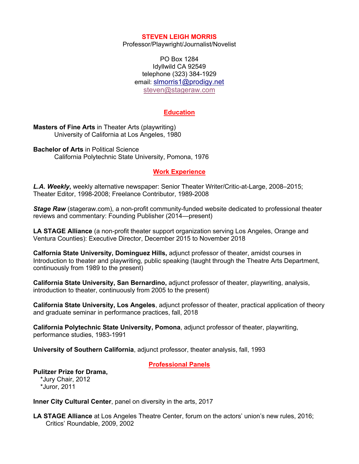#### **STEVEN LEIGH MORRIS**

Professor/Playwright/Journalist/Novelist

PO Box 1284 Idyllwild CA 92549 telephone (323) 384-1929 email: slmorris1@prodigy.net steven@stageraw.com

## **Education**

**Masters of Fine Arts** in Theater Arts (playwriting) University of California at Los Angeles, 1980

**Bachelor of Arts** in Political Science California Polytechnic State University, Pomona, 1976

#### **Work Experience**

*L.A. Weekly***,** weekly alternative newspaper: Senior Theater Writer/Critic-at-Large, 2008–2015; Theater Editor, 1998-2008; Freelance Contributor, 1989-2008

*Stage Raw* (stageraw.com), a non-profit community-funded website dedicated to professional theater reviews and commentary: Founding Publisher (2014—present)

**LA STAGE Alliance** (a non-profit theater support organization serving Los Angeles, Orange and Ventura Counties): Executive Director, December 2015 to November 2018

**Calfornia State University, Dominguez Hills,** adjunct professor of theater, amidst courses in Introduction to theater and playwriting, public speaking (taught through the Theatre Arts Department, continuously from 1989 to the present)

**California State University, San Bernardino,** adjunct professor of theater, playwriting, analysis, introduction to theater, continuously from 2005 to the present)

**California State University, Los Angeles**, adjunct professor of theater, practical application of theory and graduate seminar in performance practices, fall, 2018

**California Polytechnic State University, Pomona**, adjunct professor of theater, playwriting, performance studies, 1983-1991

**University of Southern California**, adjunct professor, theater analysis, fall, 1993

**Professional Panels**

# **Pulitzer Prize for Drama,**

 \*Jury Chair, 2012 \*Juror, 2011

**Inner City Cultural Center**, panel on diversity in the arts, 2017

**LA STAGE Alliance** at Los Angeles Theatre Center, forum on the actors' union's new rules, 2016; Critics' Roundable, 2009, 2002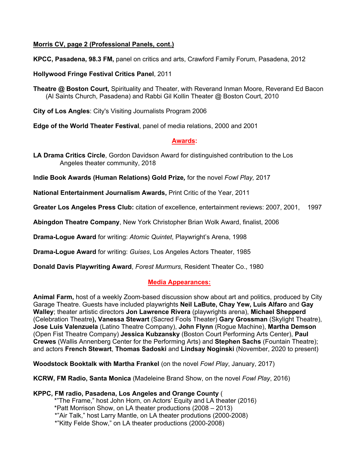# **Morris CV, page 2 (Professional Panels, cont.)**

**KPCC, Pasadena, 98.3 FM,** panel on critics and arts, Crawford Family Forum, Pasadena, 2012

**Hollywood Fringe Festival Critics Panel**, 2011

**Theatre @ Boston Court,** Spirituality and Theater, with Reverand Inman Moore, Reverand Ed Bacon (Al Saints Church, Pasadena) and Rabbi Gil Kollin Theater @ Boston Court, 2010

**City of Los Angles**: City's Visiting Journalists Program 2006

**Edge of the World Theater Festival**, panel of media relations, 2000 and 2001

# **Awards:**

**LA Drama Critics Circle**, Gordon Davidson Award for distinguished contribution to the Los Angeles theater community, 2018

**Indie Book Awards (Human Relations) Gold Prize***,* for the novel *Fowl Play,* 2017

**National Entertainment Journalism Awards,** Print Critic of the Year, 2011

**Greater Los Angeles Press Club:** citation of excellence, entertainment reviews: 2007, 2001, 1997

**Abingdon Theatre Company**, New York Christopher Brian Wolk Award, finalist, 2006

**Drama-Logue Award** for writing: *Atomic Quintet*, Playwright's Arena, 1998

**Drama-Logue Award** for writing: *Guises*, Los Angeles Actors Theater, 1985

**Donald Davis Playwriting Award**, *Forest Murmurs*, Resident Theater Co., 1980

# **Media Appearances:**

**Animal Farm,** host of a weekly Zoom-based discussion show about art and politics, produced by City Garage Theatre. Guests have included playwrights **Neil LaBute, Chay Yew, Luis Alfaro** and **Gay Walley**; theater artistic directors **Jon Lawrence Rivera** (playwrights arena), **Michael Shepperd** (Celebration Theatre**), Vanessa Stewart** (Sacred Fools Theater) **Gary Grossman** (Skylight Theatre), **Jose Luis Valenzuela** (Latino Theatre Company), **John Flynn** (Rogue Machine), **Martha Demson** (Open Fist Theatre Company) **Jessica Kubzansky** (Boston Court Performing Arts Center), **Paul Crewes** (Wallis Annenberg Center for the Performing Arts) and **Stephen Sachs** (Fountain Theatre); and actors **French Stewart**, **Thomas Sadoski** and **Lindsay Noginski** (November, 2020 to present)

**Woodstock Booktalk with Martha Frankel** (on the novel *Fowl Play*, January, 2017)

**KCRW, FM Radio, Santa Monica** (Madeleine Brand Show, on the novel *Fowl Play*, 2016)

**KPPC, FM radio, Pasadena, Los Angeles and Orange County** ( \*"The Frame," host John Horn, on Actors' Equity and LA theater (2016) \*Patt Morrison Show, on LA theater productions (2008 – 2013) \*"Air Talk," host Larry Mantle, on LA theater produtions (2000-2008) \*"Kitty Felde Show," on LA theater productions (2000-2008)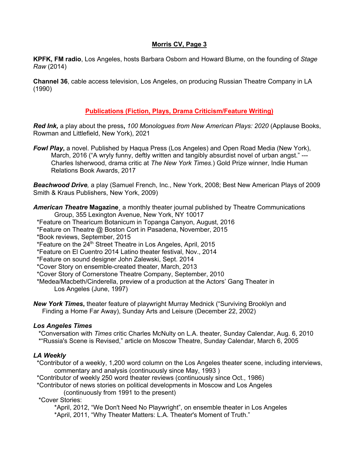# **Morris CV, Page 3**

**KPFK, FM radio**, Los Angeles, hosts Barbara Osborn and Howard Blume, on the founding of *Stage Raw* (2014)

**Channel 36**, cable access television, Los Angeles, on producing Russian Theatre Company in LA (1990)

# **Publications (Fiction, Plays, Drama Criticism/Feature Writing)**

*Red Ink,* a play about the press**,** *100 Monologues from New American Plays: 2020* (Applause Books, Rowman and Littlefield, New York), 2021

*Fowl Play***,** a novel. Published by Haqua Press (Los Angeles) and Open Road Media (New York), March, 2016 ("A wryly funny, deftly written and tangibly absurdist novel of urban angst." --- Charles Isherwood, drama critic at *The New York Times.*) Gold Prize winner, Indie Human Relations Book Awards, 2017

*Beachwood Drive,* a play (Samuel French, Inc., New York, 2008; Best New American Plays of 2009 Smith & Kraus Publishers, New York, 2009)

*American Theatre* **Magazine**¸ a monthly theater journal published by Theatre Communications Group, 355 Lexington Avenue, New York, NY 10017

- \*Feature on Thearicum Botanicum in Topanga Canyon, August, 2016
- \*Feature on Theatre @ Boston Cort in Pasadena, November, 2015
- \*Book reviews, September, 2015
- \*Feature on the 24<sup>th</sup> Street Theatre in Los Angeles, April, 2015
- \*Feature on El Cuentro 2014 Latino theater festival, Nov., 2014
- \*Feature on sound designer John Zalewski, Sept. 2014
- \*Cover Story on ensemble-created theater, March, 2013
- \*Cover Story of Cornerstone Theatre Company, September, 2010

 \*Medea/Macbeth/Cinderella, preview of a production at the Actors' Gang Theater in Los Angeles (June, 1997)

*New York Times***,** theater feature of playwright Murray Mednick ("Surviving Brooklyn and Finding a Home Far Away), Sunday Arts and Leisure (December 22, 2002)

# *Los Angeles Times*

 \*Conversation with *Times* critic Charles McNulty on L.A. theater, Sunday Calendar, Aug. 6, 2010 \*"Russia's Scene is Revised," article on Moscow Theatre, Sunday Calendar, March 6, 2005

# *LA Weekly*

 \*Contributor of a weekly, 1,200 word column on the Los Angeles theater scene, including interviews, commentary and analysis (continuously since May, 1993 )

\*Contributor of weekly 250 word theater reviews (continuously since Oct., 1986)

\*Contributor of news stories on political developments in Moscow and Los Angeles

(continuously from 1991 to the present)

\*Cover Stories:

\*April, 2012, "We Don't Need No Playwright", on ensemble theater in Los Angeles \*April, 2011, "Why Theater Matters: L.A. Theater's Moment of Truth."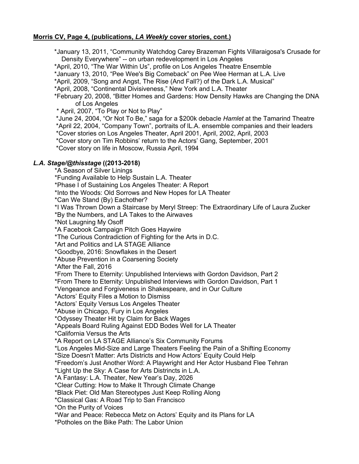# **Morris CV, Page 4, (publications,** *LA Weekly* **cover stories, cont.)**

\*January 13, 2011, "Community Watchdog Carey Brazeman Fights Villaraigosa's Crusade for Density Everywhere" -- on urban redevelopment in Los Angeles

\*April, 2010, "The War Within Us", profile on Los Angeles Theatre Ensemble

\*January 13, 2010, "Pee Wee's Big Comeback" on Pee Wee Herman at L.A. Live

\*April, 2009, "Song and Angst, The Rise (And Fall?) of the Dark L.A. Musical"

\*April, 2008, "Continental Divisiveness," New York and L.A. Theater

\*February 20, 2008, "Bitter Homes and Gardens: How Density Hawks are Changing the DNA of Los Angeles

\* April, 2007, "To Play or Not to Play"

\*June 24, 2004, "Or Not To Be," saga for a \$200k debacle *Hamlet* at the Tamarind Theatre \*April 22, 2004, "Company Town", portraits of lL.A. ensemble companies and their leaders \*Cover stories on Los Angeles Theater, April 2001, April, 2002, April, 2003 \*Cover story on Tim Robbins' return to the Actors' Gang, September, 2001

\*Cover story on life in Moscow, Russia April, 1994

#### *L.A. Stage/@thisstage* **((2013-2018)**

\*A Season of Silver Linings

\*Funding Available to Help Sustain L.A. Theater

\*Phase I of Sustaining Los Angeles Theater: A Report

\*Into the Woods: Old Sorrows and New Hopes for LA Theater

\*Can We Stand (By) Eachother?

\*I Was Thrown Down a Staircase by Meryl Streep: The Extraordinary Life of Laura Zucker

\*By the Numbers, and LA Takes to the Airwaves

\*Not Laugning My Osoff

\*A Facebook Campaign Pitch Goes Haywire

\*The Curious Contradiction of Fighting for the Arts in D.C.

\*Art and Politics and LA STAGE Alliance

\*Goodbye, 2016: Snowflakes in the Desert

\*Abuse Prevention in a Coarsening Society

\*After the Fall, 2016

\*From There to Eternity: Unpublished Interviews with Gordon Davidson, Part 2

\*From There to Eternity: Unpublished Interviews with Gordon Davidson, Part 1

\*Vengeance and Forgiveness in Shakespeare, and in Our Culture

\*Actors' Equity Files a Motion to Dismiss

\*Actors' Equity Versus Los Angeles Theater

\*Abuse in Chicago, Fury in Los Angeles

\*Odyssey Theater Hit by Claim for Back Wages

\*Appeals Board Ruling Against EDD Bodes Well for LA Theater

\*California Versus the Arts

\*A Report on LA STAGE Alliance's Six Community Forums

\*Los Angeles Mid-Size and Large Theaters Feeling the Pain of a Shifting Economy

\*Size Doesn't Matter: Arts Districts and How Actors' Equity Could Help

\*Freedom's Just Another Word: A Playwright and Her Actor Husband Flee Tehran

\*Light Up the Sky: A Case for Arts Distrincts in L.A.

\*A Fantasy: L.A. Theater, New Year's Day, 2026

\*Clear Cutting: How to Make It Through Climate Change

\*Black Piet: Old Man Stereotypes Just Keep Rolling Along

\*Classical Gas: A Road Trip to San Francisco

\*On the Purity of Voices

\*War and Peace: Rebecca Metz on Actors' Equity and its Plans for LA

\*Potholes on the Bike Path: The Labor Union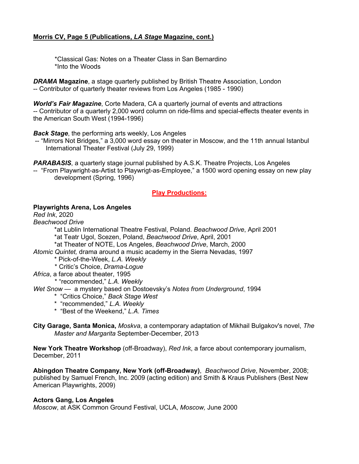# **Morris CV, Page 5 (Publications,** *LA Stage* **Magazine, cont.)**

 \*Classical Gas: Notes on a Theater Class in San Bernardino \*Into the Woods

*DRAMA* **Magazine**, a stage quarterly published by British Theatre Association, London -- Contributor of quarterly theater reviews from Los Angeles (1985 - 1990)

*World's Fair Magazine*, Corte Madera, CA a quarterly journal of events and attractions -- Contributor of a quarterly 2,000 word column on ride-films and special-effects theater events in the American South West (1994-1996)

*Back Stage*, the performing arts weekly, Los Angeles

-- "Mirrors Not Bridges," a 3,000 word essay on theater in Moscow, and the 11th annual Istanbul International Theater Festival (July 29, 1999)

**PARABASIS**, a quarterly stage journal published by A.S.K. Theatre Projects, Los Angeles

-- "From Playwright-as-Artist to Playwrigt-as-Employee," a 1500 word opening essay on new play development (Spring, 1996)

# **Play Productions:**

#### **Playwrights Arena, Los Angeles**

*Red Ink*, 2020

*Beachwood Drive* 

\*at Lublin International Theatre Festival, Poland. *Beachwood Drive*, April 2001 \*at Teatr Ugol, Scezen, Poland, *Beachwood Drive*, April, 2001

\*at Theater of NOTE, Los Angeles, *Beachwood Drive*, March, 2000

*Atomic Quintet,* drama around a music academy in the Sierra Nevadas, 1997

- \* Pick-of-the-Week, *L.A. Weekly*
- \* Critic's Choice, *Drama-Logue*
- *Africa*, a farce about theater, 1995
	- \* "recommended," *L.A. Weekly*

*Wet Snow* — a mystery based on Dostoevsky's *Notes from Underground*, 1994

- \* "Critics Choice," *Back Stage West*
- \* "recommended," *L.A. Weekly*
- \* "Best of the Weekend," *L.A. Times*

**City Garage, Santa Monica,** *Moskva*, a contemporary adaptation of Mikhail Bulgakov's novel, *The Master and Margarita* September-December, 2013

**New York Theatre Workshop** (off-Broadway), *Red Ink*, a farce about contemporary journalism, December, 2011

**Abingdon Theatre Company, New York (off-Broadway)**, *Beachwood Drive*, November, 2008; published by Samuel French, Inc. 2009 (acting edition) and Smith & Kraus Publishers (Best New American Playwrights, 2009)

#### **Actors Gang, Los Angeles**

*Moscow*, at ASK Common Ground Festival, UCLA, *Moscow,* June 2000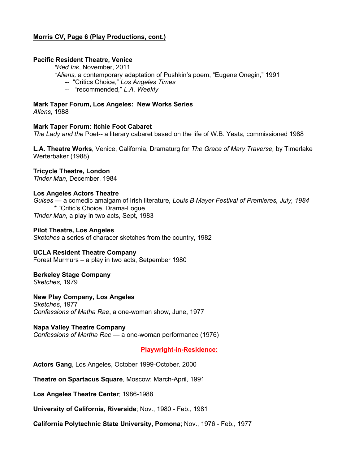# **Morris CV, Page 6 (Play Productions, cont.)**

# **Pacific Resident Theatre, Venice**

*\*Red Ink*, November, 2011

*\*Aliens,* a contemporary adaptation of Pushkin's poem, "Eugene Onegin," 1991

- -- "Critics Choice," *Los Angeles Times*
- -- "recommended," *L.A. Weekly*

## **Mark Taper Forum, Los Angeles: New Works Series**

*Aliens*, 1988

#### **Mark Taper Forum: Itchie Foot Cabaret**

*The Lady and the* Poet-- a literary cabaret based on the life of W.B. Yeats, commissioned 1988

**L.A. Theatre Works**, Venice, California, Dramaturg for *The Grace of Mary Traverse,* by Timerlake Werterbaker (1988)

# **Tricycle Theatre, London**

*Tinder Man*, December, 1984

#### **Los Angeles Actors Theatre**

*Guises* — a comedic amalgam of Irish literature*, Louis B Mayer Festival of Premieres, July, 1984* \* "Critic's Choice, Drama-Logue *Tinder Man*, a play in two acts, Sept, 1983

#### **Pilot Theatre, Los Angeles**

*Sketches* a series of characer sketches from the country, 1982

#### **UCLA Resident Theatre Company**

Forest Murmurs – a play in two acts, Setpember 1980

# **Berkeley Stage Company**

*Sketches,* 1979

#### **New Play Company, Los Angeles**

*Sketches*, 1977 *Confessions of Matha Rae*, a one-woman show, June, 1977

#### **Napa Valley Theatre Company**

*Confessions of Martha Rae* — a one-woman performance (1976)

**Playwright-in-Residence:**

**Actors Gang**, Los Angeles, October 1999-October. 2000

**Theatre on Spartacus Square**, Moscow: March-April, 1991

**Los Angeles Theatre Center**; 1986-1988

**University of California, Riverside**; Nov., 1980 - Feb., 1981

**California Polytechnic State University, Pomona**; Nov., 1976 - Feb., 1977